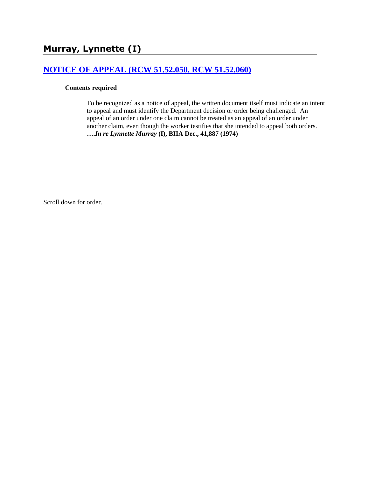# **[NOTICE OF APPEAL \(RCW 51.52.050, RCW 51.52.060\)](http://www.biia.wa.gov/SDSubjectIndex.html#NOTICE_OF_APPEAL)**

#### **Contents required**

To be recognized as a notice of appeal, the written document itself must indicate an intent to appeal and must identify the Department decision or order being challenged. An appeal of an order under one claim cannot be treated as an appeal of an order under another claim, even though the worker testifies that she intended to appeal both orders. **….***In re Lynnette Murray* **(I), BIIA Dec., 41,887 (1974)**

Scroll down for order.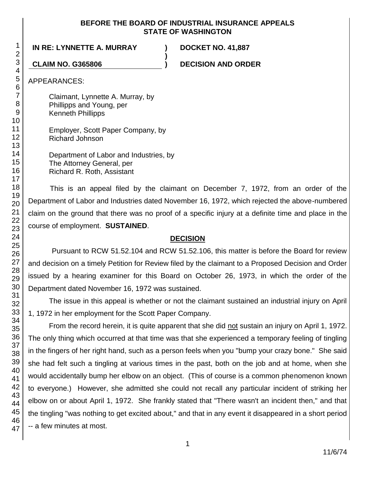#### **BEFORE THE BOARD OF INDUSTRIAL INSURANCE APPEALS STATE OF WASHINGTON**

**)**

### **IN RE: LYNNETTE A. MURRAY ) DOCKET NO. 41,887**

**CLAIM NO. G365806 ) DECISION AND ORDER**

APPEARANCES:

Claimant, Lynnette A. Murray, by Phillipps and Young, per Kenneth Phillipps

Employer, Scott Paper Company, by Richard Johnson

Department of Labor and Industries, by The Attorney General, per Richard R. Roth, Assistant

This is an appeal filed by the claimant on December 7, 1972, from an order of the Department of Labor and Industries dated November 16, 1972, which rejected the above-numbered claim on the ground that there was no proof of a specific injury at a definite time and place in the course of employment. **SUSTAINED**.

#### **DECISION**

Pursuant to RCW 51.52.104 and RCW 51.52.106, this matter is before the Board for review and decision on a timely Petition for Review filed by the claimant to a Proposed Decision and Order issued by a hearing examiner for this Board on October 26, 1973, in which the order of the Department dated November 16, 1972 was sustained.

The issue in this appeal is whether or not the claimant sustained an industrial injury on April 1, 1972 in her employment for the Scott Paper Company.

From the record herein, it is quite apparent that she did not sustain an injury on April 1, 1972. The only thing which occurred at that time was that she experienced a temporary feeling of tingling in the fingers of her right hand, such as a person feels when you "bump your crazy bone." She said she had felt such a tingling at various times in the past, both on the job and at home, when she would accidentally bump her elbow on an object. (This of course is a common phenomenon known to everyone.) However, she admitted she could not recall any particular incident of striking her elbow on or about April 1, 1972. She frankly stated that "There wasn't an incident then," and that the tingling "was nothing to get excited about," and that in any event it disappeared in a short period -- a few minutes at most.

1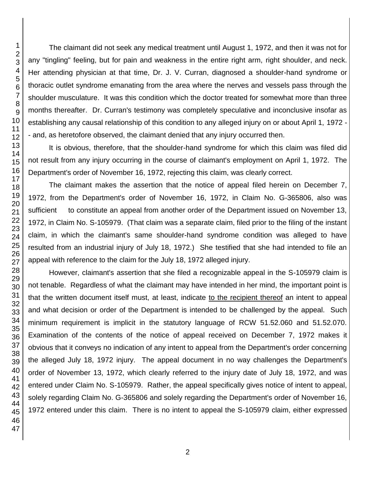The claimant did not seek any medical treatment until August 1, 1972, and then it was not for any "tingling" feeling, but for pain and weakness in the entire right arm, right shoulder, and neck. Her attending physician at that time, Dr. J. V. Curran, diagnosed a shoulder-hand syndrome or thoracic outlet syndrome emanating from the area where the nerves and vessels pass through the shoulder musculature. It was this condition which the doctor treated for somewhat more than three months thereafter. Dr. Curran's testimony was completely speculative and inconclusive insofar as establishing any causal relationship of this condition to any alleged injury on or about April 1, 1972 - - and, as heretofore observed, the claimant denied that any injury occurred then.

It is obvious, therefore, that the shoulder-hand syndrome for which this claim was filed did not result from any injury occurring in the course of claimant's employment on April 1, 1972. The Department's order of November 16, 1972, rejecting this claim, was clearly correct.

The claimant makes the assertion that the notice of appeal filed herein on December 7, 1972, from the Department's order of November 16, 1972, in Claim No. G-365806, also was sufficient to constitute an appeal from another order of the Department issued on November 13, 1972, in Claim No. S-105979. (That claim was a separate claim, filed prior to the filing of the instant claim, in which the claimant's same shoulder-hand syndrome condition was alleged to have resulted from an industrial injury of July 18, 1972.) She testified that she had intended to file an appeal with reference to the claim for the July 18, 1972 alleged injury.

However, claimant's assertion that she filed a recognizable appeal in the S-105979 claim is not tenable. Regardless of what the claimant may have intended in her mind, the important point is that the written document itself must, at least, indicate to the recipient thereof an intent to appeal and what decision or order of the Department is intended to be challenged by the appeal. Such minimum requirement is implicit in the statutory language of RCW 51.52.060 and 51.52.070. Examination of the contents of the notice of appeal received on December 7, 1972 makes it obvious that it conveys no indication of any intent to appeal from the Department's order concerning the alleged July 18, 1972 injury. The appeal document in no way challenges the Department's order of November 13, 1972, which clearly referred to the injury date of July 18, 1972, and was entered under Claim No. S-105979. Rather, the appeal specifically gives notice of intent to appeal, solely regarding Claim No. G-365806 and solely regarding the Department's order of November 16, 1972 entered under this claim. There is no intent to appeal the S-105979 claim, either expressed